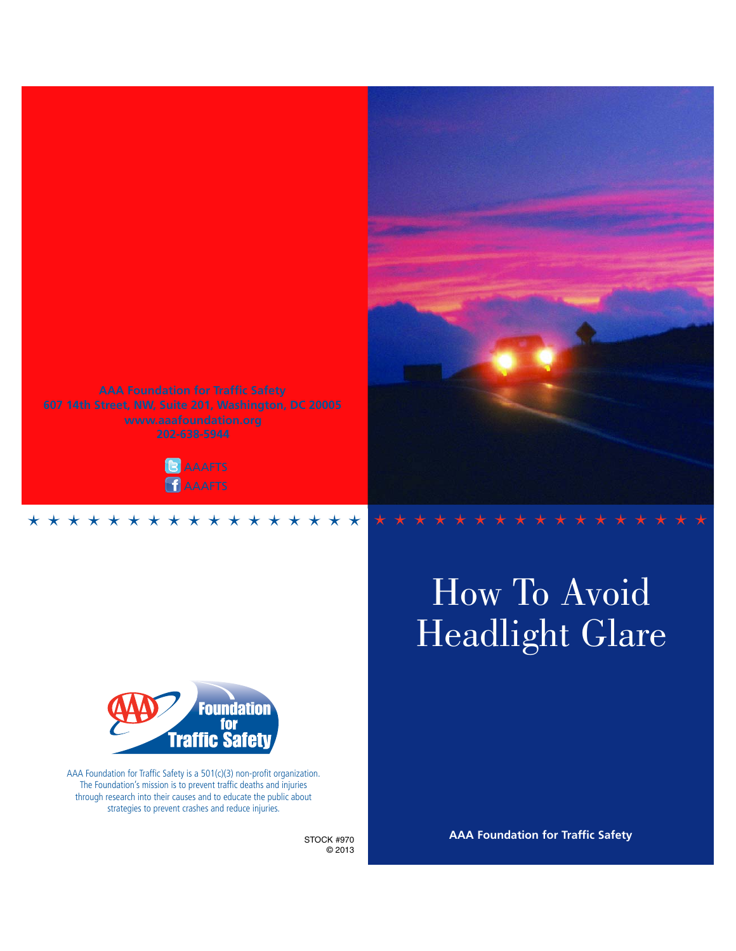

# How To Avoid Headlight Glare



AAA Foundation for Traffic Safety is a 501(c)(3) non-profit organization. The Foundation's mission is to prevent traffic deaths and injuries through research into their causes and to educate the public about strategies to prevent crashes and reduce injuries.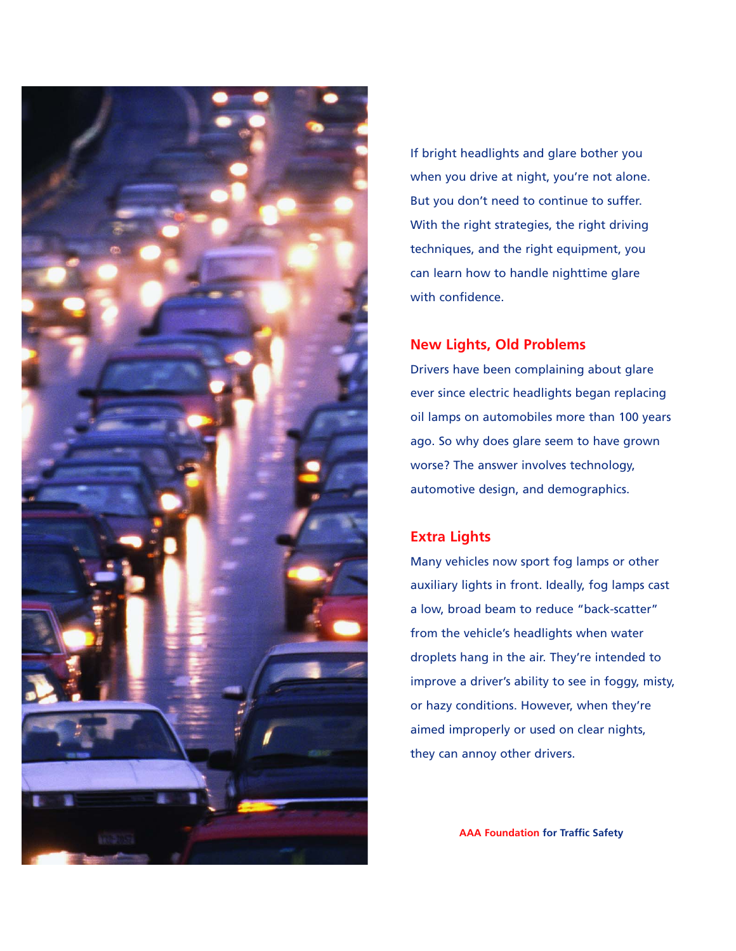

If bright headlights and glare bother you when you drive at night, you're not alone. But you don't need to continue to suffer. With the right strategies, the right driving techniques, and the right equipment, you can learn how to handle nighttime glare with confidence.

## **New Lights, Old Problems**

Drivers have been complaining about glare ever since electric headlights began replacing oil lamps on automobiles more than 100 years ago. So why does glare seem to have grown worse? The answer involves technology, automotive design, and demographics.

## **Extra Lights**

Many vehicles now sport fog lamps or other auxiliary lights in front. Ideally, fog lamps cast a low, broad beam to reduce "back-scatter" from the vehicle's headlights when water droplets hang in the air. They're intended to improve a driver's ability to see in foggy, misty, or hazy conditions. However, when they're aimed improperly or used on clear nights, they can annoy other drivers.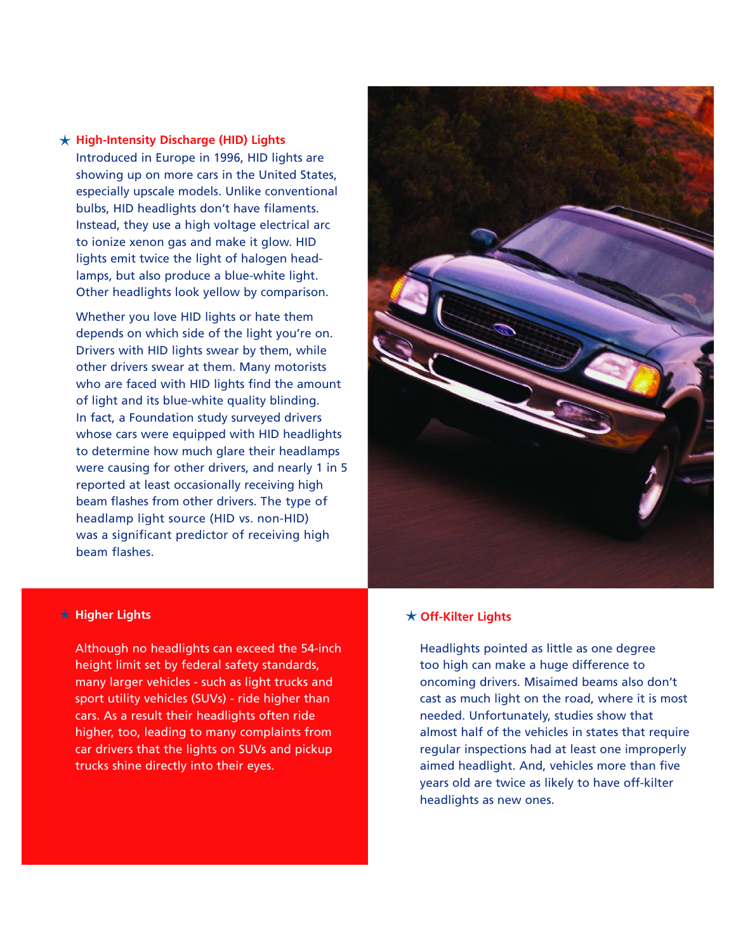## **High-Intensity Discharge (HID) Lights** Introduced in Europe in 1996, HID lights are showing up on more cars in the United States, especially upscale models. Unlike conventional bulbs, HID headlights don't have filaments. Instead, they use a high voltage electrical arc to ionize xenon gas and make it glow. HID lights emit twice the light of halogen headlamps, but also produce a blue-white light. Other headlights look yellow by comparison.

Whether you love HID lights or hate them depends on which side of the light you're on. Drivers with HID lights swear by them, while other drivers swear at them. Many motorists who are faced with HID lights find the amount of light and its blue-white quality blinding. In fact, a Foundation study surveyed drivers whose cars were equipped with HID headlights to determine how much glare their headlamps were causing for other drivers, and nearly 1 in 5 reported at least occasionally receiving high beam flashes from other drivers. The type of headlamp light source (HID vs. non-HID) was a significant predictor of receiving high beam flashes.



## **Higher Lights**

Although no headlights can exceed the 54-inch height limit set by federal safety standards, many larger vehicles - such as light trucks and sport utility vehicles (SUVs) - ride higher than cars. As a result their headlights often ride higher, too, leading to many complaints from car drivers that the lights on SUVs and pickup trucks shine directly into their eyes.

## **Off-Kilter Lights**

Headlights pointed as little as one degree too high can make a huge difference to oncoming drivers. Misaimed beams also don't cast as much light on the road, where it is most needed. Unfortunately, studies show that almost half of the vehicles in states that require regular inspections had at least one improperly aimed headlight. And, vehicles more than five years old are twice as likely to have off-kilter headlights as new ones.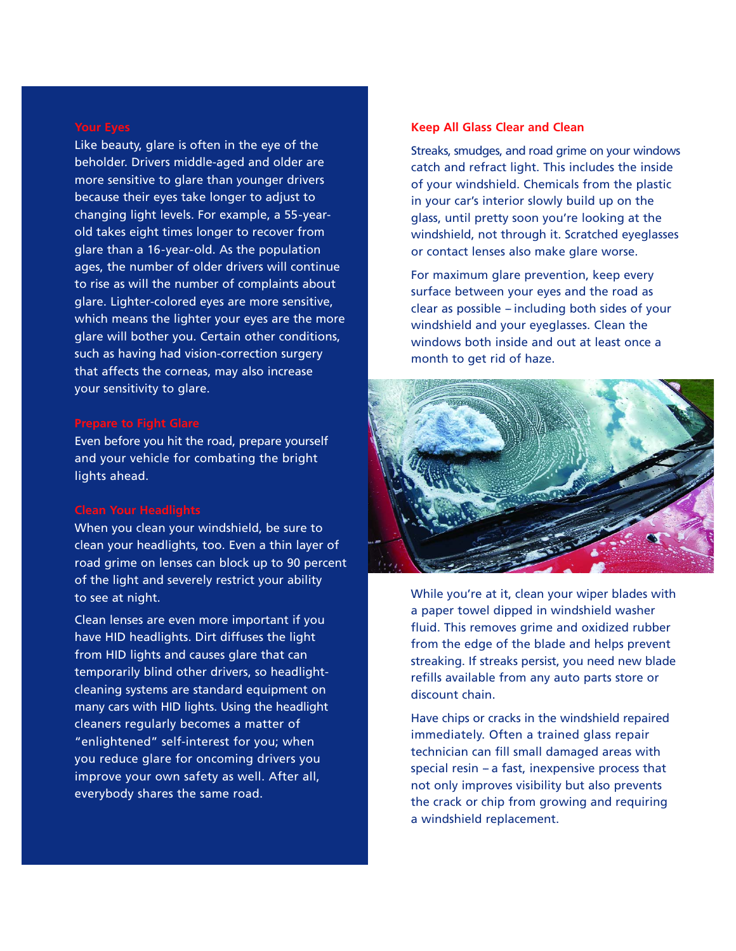Like beauty, glare is often in the eye of the beholder. Drivers middle-aged and older are more sensitive to glare than younger drivers because their eyes take longer to adjust to changing light levels. For example, a 55-yearold takes eight times longer to recover from glare than a 16-year-old. As the population ages, the number of older drivers will continue to rise as will the number of complaints about glare. Lighter-colored eyes are more sensitive, which means the lighter your eyes are the more glare will bother you. Certain other conditions, such as having had vision-correction surgery that affects the corneas, may also increase your sensitivity to glare.

Even before you hit the road, prepare yourself and your vehicle for combating the bright lights ahead.

When you clean your windshield, be sure to clean your headlights, too. Even a thin layer of road grime on lenses can block up to 90 percent of the light and severely restrict your ability to see at night.

Clean lenses are even more important if you have HID headlights. Dirt diffuses the light from HID lights and causes glare that can temporarily blind other drivers, so headlightcleaning systems are standard equipment on many cars with HID lights. Using the headlight cleaners regularly becomes a matter of "enlightened" self-interest for you; when you reduce glare for oncoming drivers you improve your own safety as well. After all, everybody shares the same road.

## **Keep All Glass Clear and Clean**

Streaks, smudges, and road grime on your windows catch and refract light. This includes the inside of your windshield. Chemicals from the plastic in your car's interior slowly build up on the glass, until pretty soon you're looking at the windshield, not through it. Scratched eyeglasses or contact lenses also make glare worse.

For maximum glare prevention, keep every surface between your eyes and the road as  $clear$  as possible  $-$  including both sides of your windshield and your eyeglasses. Clean the windows both inside and out at least once a month to get rid of haze.



While you're at it, clean your wiper blades with a paper towel dipped in windshield washer fluid. This removes grime and oxidized rubber from the edge of the blade and helps prevent streaking. If streaks persist, you need new blade refills available from any auto parts store or discount chain.

Have chips or cracks in the windshield repaired immediately. Often a trained glass repair technician can fill small damaged areas with special resin  $-$  a fast, inexpensive process that not only improves visibility but also prevents the crack or chip from growing and requiring a windshield replacement.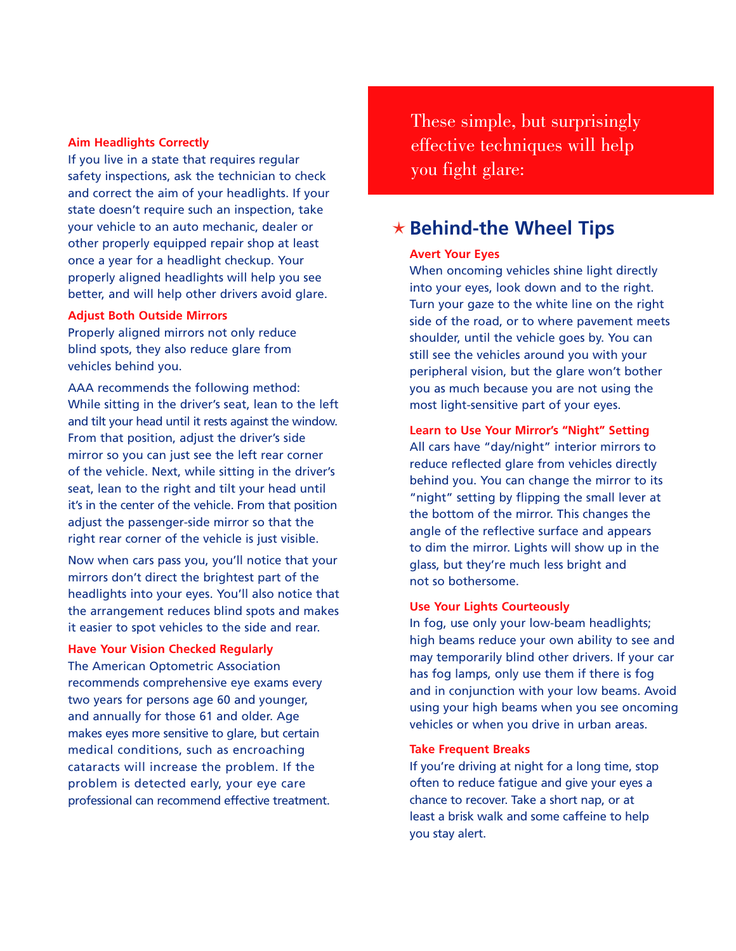## **Aim Headlights Correctly**

If you live in a state that requires regular safety inspections, ask the technician to check and correct the aim of your headlights. If your state doesn't require such an inspection, take your vehicle to an auto mechanic, dealer or other properly equipped repair shop at least once a year for a headlight checkup. Your properly aligned headlights will help you see better, and will help other drivers avoid glare.

## **Adjust Both Outside Mirrors**

Properly aligned mirrors not only reduce blind spots, they also reduce glare from vehicles behind you.

AAA recommends the following method: While sitting in the driver's seat, lean to the left and tilt your head until it rests against the window. From that position, adjust the driver's side mirror so you can just see the left rear corner of the vehicle. Next, while sitting in the driver's seat, lean to the right and tilt your head until it's in the center of the vehicle. From that position adjust the passenger-side mirror so that the right rear corner of the vehicle is just visible.

Now when cars pass you, you'll notice that your mirrors don't direct the brightest part of the headlights into your eyes. You'll also notice that the arrangement reduces blind spots and makes it easier to spot vehicles to the side and rear.

## **Have Your Vision Checked Regularly**

The American Optometric Association recommends comprehensive eye exams every two years for persons age 60 and younger, and annually for those 61 and older. Age makes eyes more sensitive to glare, but certain medical conditions, such as encroaching cataracts will increase the problem. If the problem is detected early, your eye care professional can recommend effective treatment. These simple, but surprisingly effective techniques will help you fight glare:

## **Behind-the Wheel Tips**

### **Avert Your Eyes**

When oncoming vehicles shine light directly into your eyes, look down and to the right. Turn your gaze to the white line on the right side of the road, or to where pavement meets shoulder, until the vehicle goes by. You can still see the vehicles around you with your peripheral vision, but the glare won't bother you as much because you are not using the most light-sensitive part of your eyes.

## **Learn to Use Your Mirror's "Night" Setting**

All cars have "day/night" interior mirrors to reduce reflected glare from vehicles directly behind you. You can change the mirror to its "night" setting by flipping the small lever at the bottom of the mirror. This changes the angle of the reflective surface and appears to dim the mirror. Lights will show up in the glass, but they're much less bright and not so bothersome.

## **Use Your Lights Courteously**

In fog, use only your low-beam headlights; high beams reduce your own ability to see and may temporarily blind other drivers. If your car has fog lamps, only use them if there is fog and in conjunction with your low beams. Avoid using your high beams when you see oncoming vehicles or when you drive in urban areas.

## **Take Frequent Breaks**

If you're driving at night for a long time, stop often to reduce fatigue and give your eyes a chance to recover. Take a short nap, or at least a brisk walk and some caffeine to help you stay alert.